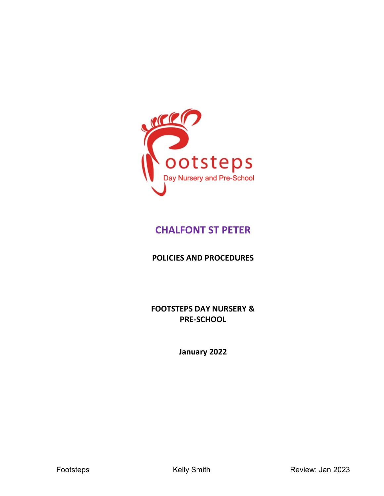

# **CHALFONT ST PETER**

**POLICIES AND PROCEDURES**

**FOOTSTEPS DAY NURSERY & PRE-SCHOOL**

**January 2022**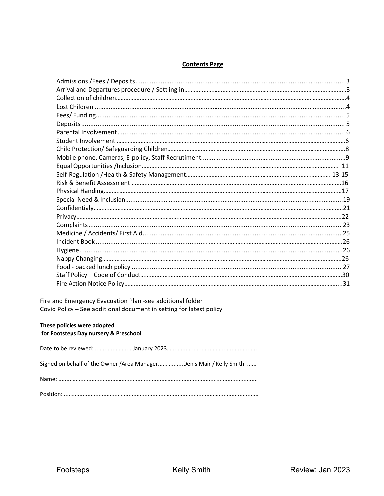### **Contents Page**

Fire and Emergency Evacuation Plan -see additional folder Covid Policy - See additional document in setting for latest policy

#### These policies were adopted for Footsteps Day nursery & Preschool

| Signed on behalf of the Owner /Area ManagerDenis Mair / Kelly Smith |
|---------------------------------------------------------------------|
|                                                                     |
|                                                                     |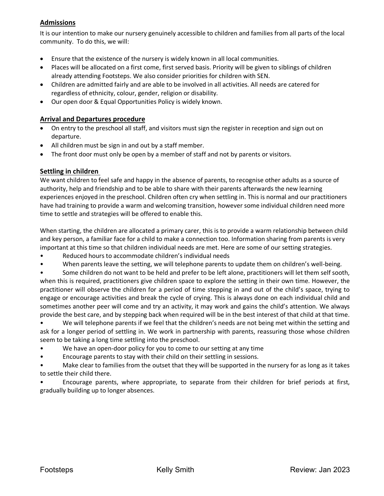# **Admissions**

It is our intention to make our nursery genuinely accessible to children and families from all parts of the local community. To do this, we will:

- Ensure that the existence of the nursery is widely known in all local communities.
- Places will be allocated on a first come, first served basis. Priority will be given to siblings of children already attending Footsteps. We also consider priorities for children with SEN.
- Children are admitted fairly and are able to be involved in all activities. All needs are catered for regardless of ethnicity, colour, gender, religion or disability.
- Our open door & Equal Opportunities Policy is widely known.

# **Arrival and Departures procedure**

- On entry to the preschool all staff, and visitors must sign the register in reception and sign out on departure.
- All children must be sign in and out by a staff member.
- The front door must only be open by a member of staff and not by parents or visitors.

### **Settling in children**

We want children to feel safe and happy in the absence of parents, to recognise other adults as a source of authority, help and friendship and to be able to share with their parents afterwards the new learning experiences enjoyed in the preschool. Children often cry when settling in. This is normal and our practitioners have had training to provide a warm and welcoming transition, however some individual children need more time to settle and strategies will be offered to enable this.

When starting, the children are allocated a primary carer, this is to provide a warm relationship between child and key person, a familiar face for a child to make a connection too. Information sharing from parents is very important at this time so that children individual needs are met. Here are some of our setting strategies.

- Reduced hours to accommodate children's individual needs
- When parents leave the setting, we will telephone parents to update them on children's well-being.

• Some children do not want to be held and prefer to be left alone, practitioners will let them self sooth, when this is required, practitioners give children space to explore the setting in their own time. However, the practitioner will observe the children for a period of time stepping in and out of the child's space, trying to engage or encourage activities and break the cycle of crying. This is always done on each individual child and sometimes another peer will come and try an activity, it may work and gains the child's attention. We always provide the best care, and by stepping back when required will be in the best interest of that child at that time.

• We will telephone parents if we feel that the children's needs are not being met within the setting and ask for a longer period of settling in. We work in partnership with parents, reassuring those whose children seem to be taking a long time settling into the preschool.

- We have an open-door policy for you to come to our setting at any time
- Encourage parents to stay with their child on their settling in sessions.

• Make clear to families from the outset that they will be supported in the nursery for as long as it takes to settle their child there.

• Encourage parents, where appropriate, to separate from their children for brief periods at first, gradually building up to longer absences.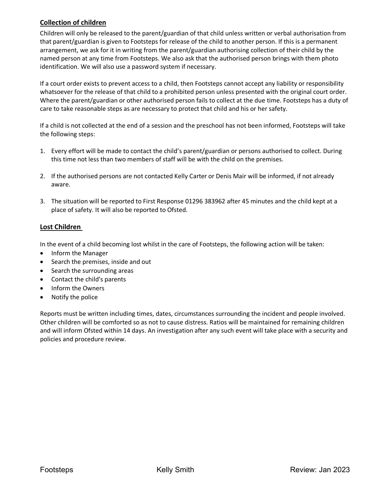# **Collection of children**

Children will only be released to the parent/guardian of that child unless written or verbal authorisation from that parent/guardian is given to Footsteps for release of the child to another person. If this is a permanent arrangement, we ask for it in writing from the parent/guardian authorising collection of their child by the named person at any time from Footsteps. We also ask that the authorised person brings with them photo identification. We will also use a password system if necessary.

If a court order exists to prevent access to a child, then Footsteps cannot accept any liability or responsibility whatsoever for the release of that child to a prohibited person unless presented with the original court order. Where the parent/guardian or other authorised person fails to collect at the due time. Footsteps has a duty of care to take reasonable steps as are necessary to protect that child and his or her safety.

If a child is not collected at the end of a session and the preschool has not been informed, Footsteps will take the following steps:

- 1. Every effort will be made to contact the child's parent/guardian or persons authorised to collect. During this time not less than two members of staff will be with the child on the premises.
- 2. If the authorised persons are not contacted Kelly Carter or Denis Mair will be informed, if not already aware.
- 3. The situation will be reported to First Response 01296 383962 after 45 minutes and the child kept at a place of safety. It will also be reported to Ofsted.

# **Lost Children**

In the event of a child becoming lost whilst in the care of Footsteps, the following action will be taken:

- Inform the Manager
- Search the premises, inside and out
- Search the surrounding areas
- Contact the child's parents
- Inform the Owners
- Notify the police

Reports must be written including times, dates, circumstances surrounding the incident and people involved. Other children will be comforted so as not to cause distress. Ratios will be maintained for remaining children and will inform Ofsted within 14 days. An investigation after any such event will take place with a security and policies and procedure review.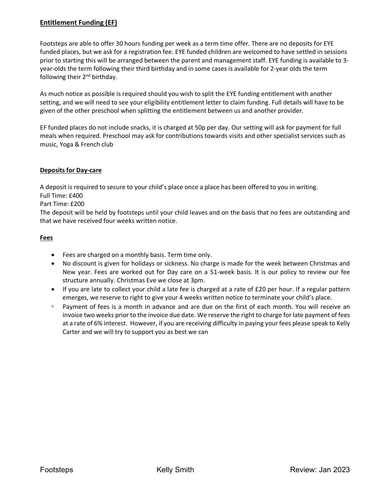# **Entitlement Funding (EF)**

Footsteps are able to offer 30 hours funding per week as a term time offer. There are no deposits for EYE funded places, but we ask for a registration fee. EYE funded children are welcomed to have settled in sessions prior to starting this will be arranged between the parent and management staff. EYE funding is available to 3 year-olds the term following their third birthday and in some cases is available for 2-year olds the term following their  $2^{nd}$  birthday.

As much notice as possible is required should you wish to split the EYE funding entitlement with another setting, and we will need to see your eligibility entitlement letter to claim funding. Full details will have to be given of the other preschool when splitting the entitlement between us and another provider.

EF funded places do not include snacks, it is charged at 50p per day. Our setting will ask for payment for full meals when required. Preschool may ask for contributions towards visits and other specialist services such as music, Yoga & French club

### **Deposits for Day-care**

A deposit is required to secure to your child's place once a place has been offered to you in writing. Full Time: £400

Part Time: £200

The deposit will be held by footsteps until your child leaves and on the basis that no fees are outstanding and that we have received four weeks written notice.

### **Fees**

- Fees are charged on a monthly basis. Term time only.
- No discount is given for holidays or sickness. No charge is made for the week between Christmas and New year. Fees are worked out for Day care on a 51-week basis. It is our policy to review our fee structure annually. Christmas Eve we close at 3pm.
- If you are late to collect your child a late fee is charged at a rate of £20 per hour. If a regular pattern emerges, we reserve to right to give your 4 weeks written notice to terminate your child's place.
- Payment of fees is a month in advance and are due on the first of each month. You will receive an invoice two weeks prior to the invoice due date. We reserve the right to charge for late payment of fees at a rate of 6% interest. However, if you are receiving difficulty in paying your fees please speak to Kelly Carter and we will try to support you as best we can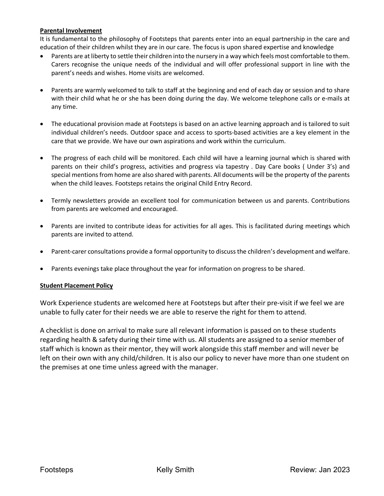### **Parental Involvement**

It is fundamental to the philosophy of Footsteps that parents enter into an equal partnership in the care and education of their children whilst they are in our care. The focus is upon shared expertise and knowledge

- Parents are at liberty to settle their children into the nursery in a way which feels most comfortable to them. Carers recognise the unique needs of the individual and will offer professional support in line with the parent's needs and wishes. Home visits are welcomed.
- Parents are warmly welcomed to talk to staff at the beginning and end of each day or session and to share with their child what he or she has been doing during the day. We welcome telephone calls or e-mails at any time.
- The educational provision made at Footsteps is based on an active learning approach and is tailored to suit individual children's needs. Outdoor space and access to sports-based activities are a key element in the care that we provide. We have our own aspirations and work within the curriculum.
- The progress of each child will be monitored. Each child will have a learning journal which is shared with parents on their child's progress, activities and progress via tapestry . Day Care books ( Under 3's) and special mentions from home are also shared with parents. All documents will be the property of the parents when the child leaves. Footsteps retains the original Child Entry Record.
- Termly newsletters provide an excellent tool for communication between us and parents. Contributions from parents are welcomed and encouraged.
- Parents are invited to contribute ideas for activities for all ages. This is facilitated during meetings which parents are invited to attend.
- Parent-carer consultations provide a formal opportunity to discuss the children's development and welfare.
- Parents evenings take place throughout the year for information on progress to be shared.

### **Student Placement Policy**

Work Experience students are welcomed here at Footsteps but after their pre-visit if we feel we are unable to fully cater for their needs we are able to reserve the right for them to attend.

A checklist is done on arrival to make sure all relevant information is passed on to these students regarding health & safety during their time with us. All students are assigned to a senior member of staff which is known as their mentor, they will work alongside this staff member and will never be left on their own with any child/children. It is also our policy to never have more than one student on the premises at one time unless agreed with the manager.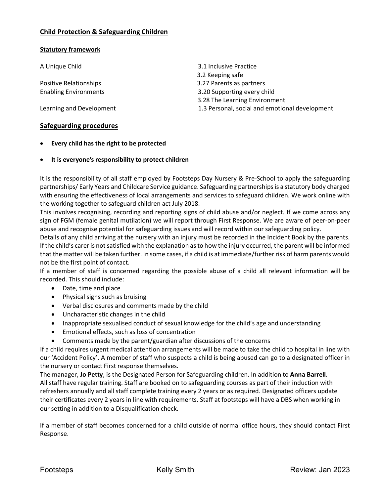### **Child Protection & Safeguarding Children**

#### **Statutory framework**

Learning and Development 1.3 Personal, social and emotional development

### **Safeguarding procedures**

- **Every child has the right to be protected**
- **It is everyone's responsibility to protect children**

It is the responsibility of all staff employed by Footsteps Day Nursery & Pre-School to apply the safeguarding partnerships/ Early Years and Childcare Service guidance. Safeguarding partnerships is a statutory body charged with ensuring the effectiveness of local arrangements and services to safeguard children. We work online with the working together to safeguard children act July 2018.

This involves recognising, recording and reporting signs of child abuse and/or neglect. If we come across any sign of FGM (female genital mutilation) we will report through First Response. We are aware of peer-on-peer abuse and recognise potential for safeguarding issues and will record within our safeguarding policy.

Details of any child arriving at the nursery with an injury must be recorded in the Incident Book by the parents. If the child's carer is not satisfied with the explanation as to how the injury occurred, the parent will be informed that the matter will be taken further. In some cases, if a child is at immediate/further risk of harm parents would not be the first point of contact.

If a member of staff is concerned regarding the possible abuse of a child all relevant information will be recorded. This should include:

- Date, time and place
- Physical signs such as bruising
- Verbal disclosures and comments made by the child
- Uncharacteristic changes in the child
- Inappropriate sexualised conduct of sexual knowledge for the child's age and understanding
- Emotional effects, such as loss of concentration
- Comments made by the parent/guardian after discussions of the concerns

If a child requires urgent medical attention arrangements will be made to take the child to hospital in line with our 'Accident Policy'. A member of staff who suspects a child is being abused can go to a designated officer in the nursery or contact First response themselves.

The manager, **Jo Petty**, is the Designated Person for Safeguarding children. In addition to **Anna Barrell**. All staff have regular training. Staff are booked on to safeguarding courses as part of their induction with refreshers annually and all staff complete training every 2 years or as required. Designated officers update their certificates every 2 years in line with requirements. Staff at footsteps will have a DBS when working in our setting in addition to a Disqualification check*.* 

If a member of staff becomes concerned for a child outside of normal office hours, they should contact First Response.

A Unique Child 3.1 Inclusive Practice 3.2 Keeping safe Positive Relationships 3.27 Parents as partners Enabling Environments 3.20 Supporting every child 3.28 The Learning Environment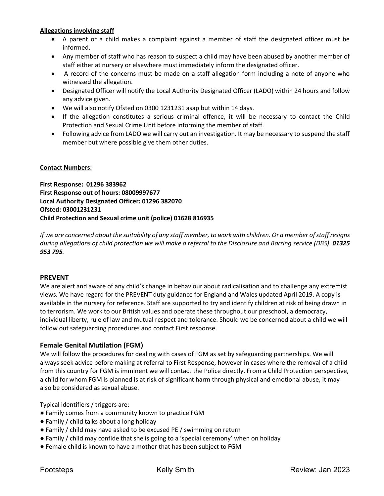### **Allegations involving staff**

- A parent or a child makes a complaint against a member of staff the designated officer must be informed.
- Any member of staff who has reason to suspect a child may have been abused by another member of staff either at nursery or elsewhere must immediately inform the designated officer.
- A record of the concerns must be made on a staff allegation form including a note of anyone who witnessed the allegation.
- Designated Officer will notify the Local Authority Designated Officer (LADO) within 24 hours and follow any advice given.
- We will also notify Ofsted on 0300 1231231 asap but within 14 days.
- If the allegation constitutes a serious criminal offence, it will be necessary to contact the Child Protection and Sexual Crime Unit before informing the member of staff.
- Following advice from LADO we will carry out an investigation. It may be necessary to suspend the staff member but where possible give them other duties.

### **Contact Numbers:**

**First Response: 01296 383962 First Response out of hours: 08009997677 Local Authority Designated Officer: 01296 382070 Ofsted: 03001231231 Child Protection and Sexual crime unit (police) 01628 816935**

*If we are concerned about the suitability of any staff member, to work with children. Or a member ofstaff resigns during allegations of child protection we will make a referral to the Disclosure and Barring service (DBS). 01325 953 795.* 

### **PREVENT**

We are alert and aware of any child's change in behaviour about radicalisation and to challenge any extremist views. We have regard for the PREVENT duty guidance for England and Wales updated April 2019. A copy is available in the nursery for reference. Staff are supported to try and identify children at risk of being drawn in to terrorism. We work to our British values and operate these throughout our preschool, a democracy, individual liberty, rule of law and mutual respect and tolerance. Should we be concerned about a child we will follow out safeguarding procedures and contact First response.

### **Female Genital Mutilation (FGM)**

We will follow the procedures for dealing with cases of FGM as set by safeguarding partnerships. We will always seek advice before making at referral to First Response, however in cases where the removal of a child from this country for FGM is imminent we will contact the Police directly. From a Child Protection perspective, a child for whom FGM is planned is at risk of significant harm through physical and emotional abuse, it may also be considered as sexual abuse.

Typical identifiers / triggers are:

- Family comes from a community known to practice FGM
- Family / child talks about a long holiday
- Family / child may have asked to be excused PE / swimming on return
- Family / child may confide that she is going to a 'special ceremony' when on holiday
- Female child is known to have a mother that has been subject to FGM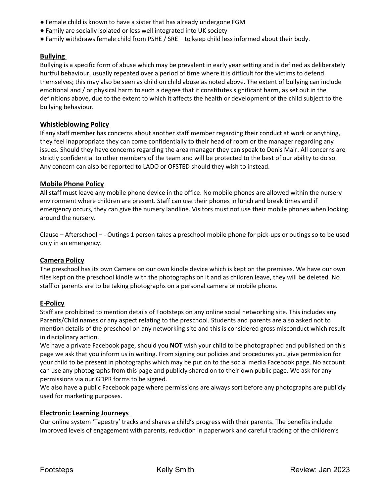- Female child is known to have a sister that has already undergone FGM
- Family are socially isolated or less well integrated into UK society
- Family withdraws female child from PSHE / SRE to keep child less informed about their body.

### **Bullying**

Bullying is a specific form of abuse which may be prevalent in early year setting and is defined as deliberately hurtful behaviour, usually repeated over a period of time where it is difficult for the victims to defend themselves; this may also be seen as child on child abuse as noted above. The extent of bullying can include emotional and / or physical harm to such a degree that it constitutes significant harm, as set out in the definitions above, due to the extent to which it affects the health or development of the child subject to the bullying behaviour.

### **Whistleblowing Policy**

If any staff member has concerns about another staff member regarding their conduct at work or anything, they feel inappropriate they can come confidentially to their head of room or the manager regarding any issues. Should they have concerns regarding the area manager they can speak to Denis Mair. All concerns are strictly confidential to other members of the team and will be protected to the best of our ability to do so. Any concern can also be reported to LADO or OFSTED should they wish to instead.

### **Mobile Phone Policy**

All staff must leave any mobile phone device in the office. No mobile phones are allowed within the nursery environment where children are present. Staff can use their phones in lunch and break times and if emergency occurs, they can give the nursery landline. Visitors must not use their mobile phones when looking around the nursery.

Clause – Afterschool – - Outings 1 person takes a preschool mobile phone for pick-ups or outings so to be used only in an emergency.

# **Camera Policy**

The preschool has its own Camera on our own kindle device which is kept on the premises. We have our own files kept on the preschool kindle with the photographs on it and as children leave, they will be deleted. No staff or parents are to be taking photographs on a personal camera or mobile phone.

### **E-Policy**

Staff are prohibited to mention details of Footsteps on any online social networking site. This includes any Parents/Child names or any aspect relating to the preschool. Students and parents are also asked not to mention details of the preschool on any networking site and this is considered gross misconduct which result in disciplinary action.

We have a private Facebook page, should you **NOT** wish your child to be photographed and published on this page we ask that you inform us in writing. From signing our policies and procedures you give permission for your child to be present in photographs which may be put on to the social media Facebook page. No account can use any photographs from this page and publicly shared on to their own public page. We ask for any permissions via our GDPR forms to be signed.

We also have a public Facebook page where permissions are always sort before any photographs are publicly used for marketing purposes.

### **Electronic Learning Journeys**

Our online system 'Tapestry' tracks and shares a child's progress with their parents. The benefits include improved levels of engagement with parents, reduction in paperwork and careful tracking of the children's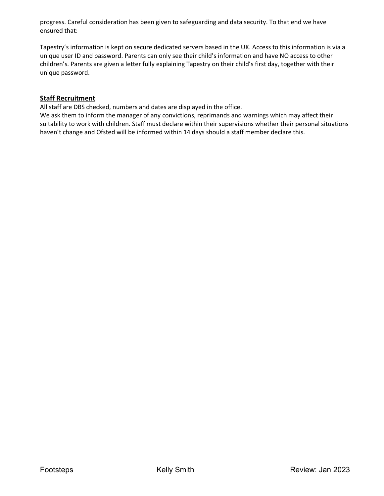progress. Careful consideration has been given to safeguarding and data security. To that end we have ensured that:

Tapestry's information is kept on secure dedicated servers based in the UK. Access to this information is via a unique user ID and password. Parents can only see their child's information and have NO access to other children's. Parents are given a letter fully explaining Tapestry on their child's first day, together with their unique password.

### **Staff Recruitment**

All staff are DBS checked, numbers and dates are displayed in the office.

We ask them to inform the manager of any convictions, reprimands and warnings which may affect their suitability to work with children. Staff must declare within their supervisions whether their personal situations haven't change and Ofsted will be informed within 14 days should a staff member declare this.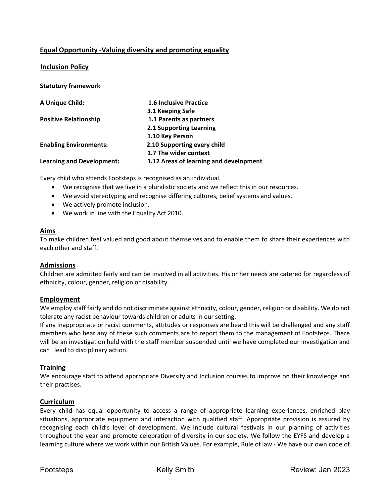# **Equal Opportunity -Valuing diversity and promoting equality**

# **Inclusion Policy**

### **Statutory framework**

| A Unique Child:                  | <b>1.6 Inclusive Practice</b>          |
|----------------------------------|----------------------------------------|
|                                  | 3.1 Keeping Safe                       |
| <b>Positive Relationship</b>     | 1.1 Parents as partners                |
|                                  | 2.1 Supporting Learning                |
|                                  | 1.10 Key Person                        |
| <b>Enabling Environments:</b>    | 2.10 Supporting every child            |
|                                  | 1.7 The wider context                  |
| <b>Learning and Development:</b> | 1.12 Areas of learning and development |

Every child who attends Footsteps is recognised as an individual.

- We recognise that we live in a pluralistic society and we reflect this in our resources.
- We avoid stereotyping and recognise differing cultures, belief systems and values.
- We actively promote inclusion.
- We work in line with the Equality Act 2010.

### **Aims**

To make children feel valued and good about themselves and to enable them to share their experiences with each other and staff.

### **Admissions**

Children are admitted fairly and can be involved in all activities. His or her needs are catered for regardless of ethnicity, colour, gender, religion or disability.

### **Employment**

We employ staff fairly and do not discriminate against ethnicity, colour, gender, religion or disability. We do not tolerate any racist behaviour towards children or adults in our setting.

If any inappropriate or racist comments, attitudes or responses are heard this will be challenged and any staff members who hear any of these such comments are to report them to the management of Footsteps. There will be an investigation held with the staff member suspended until we have completed our investigation and can lead to disciplinary action.

### **Training**

We encourage staff to attend appropriate Diversity and Inclusion courses to improve on their knowledge and their practises.

### **Curriculum**

Every child has equal opportunity to access a range of appropriate learning experiences, enriched play situations, appropriate equipment and interaction with qualified staff. Appropriate provision is assured by recognising each child's level of development. We include cultural festivals in our planning of activities throughout the year and promote celebration of diversity in our society. We follow the EYFS and develop a learning culture where we work within our British Values. For example, Rule of law - We have our own code of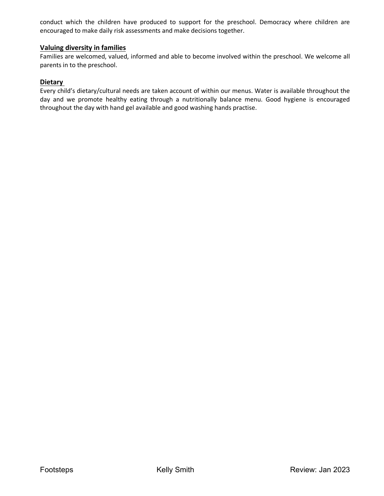conduct which the children have produced to support for the preschool. Democracy where children are encouraged to make daily risk assessments and make decisions together.

### **Valuing diversity in families**

Families are welcomed, valued, informed and able to become involved within the preschool. We welcome all parents in to the preschool.

#### **Dietary**

Every child's dietary/cultural needs are taken account of within our menus. Water is available throughout the day and we promote healthy eating through a nutritionally balance menu. Good hygiene is encouraged throughout the day with hand gel available and good washing hands practise.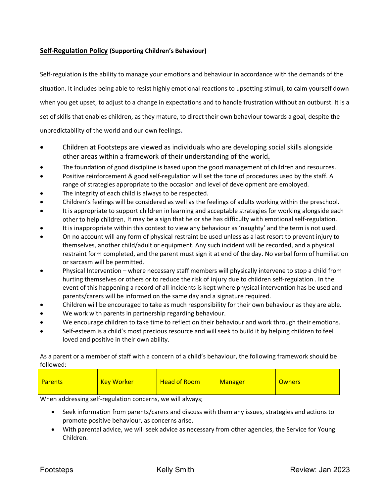# **Self-Regulation Policy (Supporting Children's Behaviour)**

Self-regulation is the ability to manage your emotions and behaviour in accordance with the demands of the situation. It includes being able to resist highly emotional reactions to upsetting stimuli, to calm yourself down when you get upset, to adjust to a change in expectations and to handle frustration without an outburst. It is a set of skills that enables children, as they mature, to direct their own behaviour towards a goal, despite the unpredictability of the world and our own feelings.

- Children at Footsteps are viewed as individuals who are developing social skills alongside other areas within a framework of their understanding of the world**.**
- The foundation of good discipline is based upon the good management of children and resources.
- Positive reinforcement & good self-regulation will set the tone of procedures used by the staff. A range of strategies appropriate to the occasion and level of development are employed.
- The integrity of each child is always to be respected.
- Children's feelings will be considered as well as the feelings of adults working within the preschool.
- It is appropriate to support children in learning and acceptable strategies for working alongside each other to help children. It may be a sign that he or she has difficulty with emotional self-regulation.
- It is inappropriate within this context to view any behaviour as 'naughty' and the term is not used.
- On no account will any form of physical restraint be used unless as a last resort to prevent injury to themselves, another child/adult or equipment. Any such incident will be recorded, and a physical restraint form completed, and the parent must sign it at end of the day. No verbal form of humiliation or sarcasm will be permitted.
- Physical Intervention where necessary staff members will physically intervene to stop a child from hurting themselves or others or to reduce the risk of injury due to children self-regulation . In the event of this happening a record of all incidents is kept where physical intervention has be used and parents/carers will be informed on the same day and a signature required.
- Children will be encouraged to take as much responsibility for their own behaviour as they are able.
- We work with parents in partnership regarding behaviour.
- We encourage children to take time to reflect on their behaviour and work through their emotions.
- Self-esteem is a child's most precious resource and will seek to build it by helping children to feel loved and positive in their own ability.

As a parent or a member of staff with a concern of a child's behaviour, the following framework should be followed:

| Parents | <b>Key Worker</b> | <b>Head of Room</b> | Manager | <b>Owners</b> |
|---------|-------------------|---------------------|---------|---------------|
|         |                   |                     |         |               |

When addressing self-regulation concerns, we will always;

- Seek information from parents/carers and discuss with them any issues, strategies and actions to promote positive behaviour, as concerns arise.
- With parental advice, we will seek advice as necessary from other agencies, the Service for Young Children.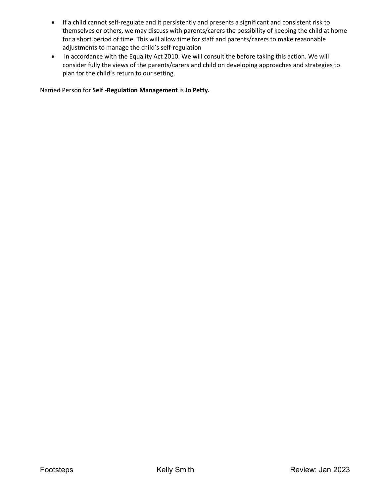- If a child cannot self-regulate and it persistently and presents a significant and consistent risk to themselves or others, we may discuss with parents/carers the possibility of keeping the child at home for a short period of time. This will allow time for staff and parents/carers to make reasonable adjustments to manage the child's self-regulation
- in accordance with the Equality Act 2010. We will consult the before taking this action. We will consider fully the views of the parents/carers and child on developing approaches and strategies to plan for the child's return to our setting.

Named Person for **Self -Regulation Management** is **Jo Petty.**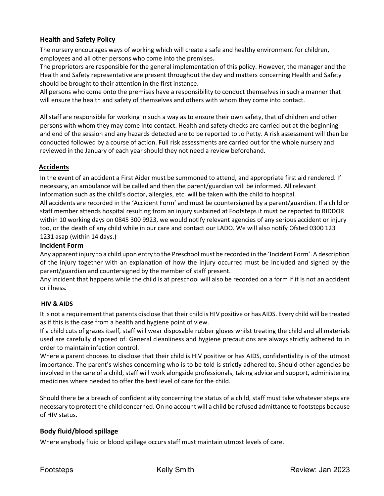# **Health and Safety Policy**

The nursery encourages ways of working which will create a safe and healthy environment for children, employees and all other persons who come into the premises.

The proprietors are responsible for the general implementation of this policy. However, the manager and the Health and Safety representative are present throughout the day and matters concerning Health and Safety should be brought to their attention in the first instance.

All persons who come onto the premises have a responsibility to conduct themselves in such a manner that will ensure the health and safety of themselves and others with whom they come into contact.

All staff are responsible for working in such a way as to ensure their own safety, that of children and other persons with whom they may come into contact. Health and safety checks are carried out at the beginning and end of the session and any hazards detected are to be reported to Jo Petty. A risk assessment will then be conducted followed by a course of action. Full risk assessments are carried out for the whole nursery and reviewed in the January of each year should they not need a review beforehand.

# **Accidents**

In the event of an accident a First Aider must be summoned to attend, and appropriate first aid rendered. If necessary, an ambulance will be called and then the parent/guardian will be informed. All relevant information such as the child's doctor, allergies, etc. will be taken with the child to hospital. All accidents are recorded in the 'Accident Form' and must be countersigned by a parent/guardian. If a child or staff member attends hospital resulting from an injury sustained at Footsteps it must be reported to RIDDOR within 10 working days on 0845 300 9923, we would notify relevant agencies of any serious accident or injury too, or the death of any child while in our care and contact our LADO. We will also notify Ofsted 0300 123 1231 asap (within 14 days.)

### **Incident Form**

Any apparent injury to a child upon entry to the Preschool must be recorded in the 'Incident Form'. A description of the injury together with an explanation of how the injury occurred must be included and signed by the parent/guardian and countersigned by the member of staff present.

Any incident that happens while the child is at preschool will also be recorded on a form if it is not an accident or illness.

# **HIV & AIDS**

It is not a requirement that parents disclose that their child is HIV positive or has AIDS. Every child will be treated as if this is the case from a health and hygiene point of view.

If a child cuts of grazes itself, staff will wear disposable rubber gloves whilst treating the child and all materials used are carefully disposed of. General cleanliness and hygiene precautions are always strictly adhered to in order to maintain infection control.

Where a parent chooses to disclose that their child is HIV positive or has AIDS, confidentiality is of the utmost importance. The parent's wishes concerning who is to be told is strictly adhered to. Should other agencies be involved in the care of a child, staff will work alongside professionals, taking advice and support, administering medicines where needed to offer the best level of care for the child.

Should there be a breach of confidentiality concerning the status of a child, staff must take whatever steps are necessary to protect the child concerned. On no account will a child be refused admittance to footsteps because of HIV status.

# **Body fluid/blood spillage**

Where anybody fluid or blood spillage occurs staff must maintain utmost levels of care.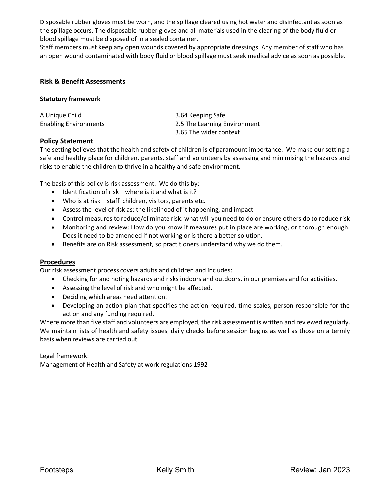Disposable rubber gloves must be worn, and the spillage cleared using hot water and disinfectant as soon as the spillage occurs. The disposable rubber gloves and all materials used in the clearing of the body fluid or blood spillage must be disposed of in a sealed container.

Staff members must keep any open wounds covered by appropriate dressings. Any member of staff who has an open wound contaminated with body fluid or blood spillage must seek medical advice as soon as possible.

#### **Risk & Benefit Assessments**

#### **Statutory framework**

| A Unique Child               | 3.64 Keeping Safe            |
|------------------------------|------------------------------|
| <b>Enabling Environments</b> | 2.5 The Learning Environment |
|                              | 3.65 The wider context       |

### **Policy Statement**

The setting believes that the health and safety of children is of paramount importance. We make our setting a safe and healthy place for children, parents, staff and volunteers by assessing and minimising the hazards and risks to enable the children to thrive in a healthy and safe environment.

The basis of this policy is risk assessment. We do this by:

- Identification of risk where is it and what is it?
- Who is at risk staff, children, visitors, parents etc.
- Assess the level of risk as: the likelihood of it happening, and impact
- Control measures to reduce/eliminate risk: what will you need to do or ensure others do to reduce risk
- Monitoring and review: How do you know if measures put in place are working, or thorough enough. Does it need to be amended if not working or is there a better solution.
- Benefits are on Risk assessment, so practitioners understand why we do them.

### **Procedures**

Our risk assessment process covers adults and children and includes:

- Checking for and noting hazards and risks indoors and outdoors, in our premises and for activities.
- Assessing the level of risk and who might be affected.
- Deciding which areas need attention.
- Developing an action plan that specifies the action required, time scales, person responsible for the action and any funding required.

Where more than five staff and volunteers are employed, the risk assessment is written and reviewed regularly. We maintain lists of health and safety issues, daily checks before session begins as well as those on a termly basis when reviews are carried out.

Legal framework:

Management of Health and Safety at work regulations 1992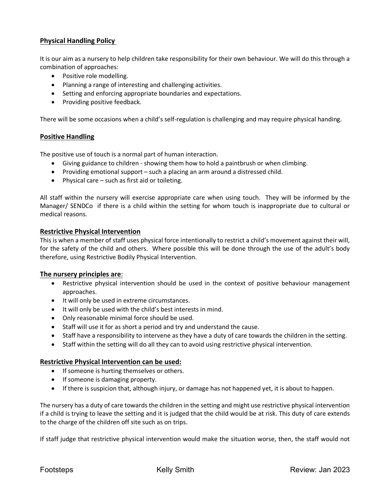# **Physical Handling Policy**

It is our aim as a nursery to help children take responsibility for their own behaviour. We will do this through a combination of approaches:

- Positive role modelling.
- Planning a range of interesting and challenging activities.
- Setting and enforcing appropriate boundaries and expectations.
- Providing positive feedback.

There will be some occasions when a child's self-regulation is challenging and may require physical handing.

### **Positive Handling**

The positive use of touch is a normal part of human interaction.

- Giving guidance to children showing them how to hold a paintbrush or when climbing.
- Providing emotional support such a placing an arm around a distressed child.
- Physical care such as first aid or toileting.

All staff within the nursery will exercise appropriate care when using touch. They will be informed by the Manager/ SENDCo if there is a child within the setting for whom touch is inappropriate due to cultural or medical reasons.

#### **Restrictive Physical Intervention**

This is when a member of staff uses physical force intentionally to restrict a child's movement against their will, for the safety of the child and others. Where possible this will be done through the use of the adult's body therefore, using Restrictive Bodily Physical Intervention.

### **The nursery principles are**:

- Restrictive physical intervention should be used in the context of positive behaviour management approaches.
- It will only be used in extreme circumstances.
- It will only be used with the child's best interests in mind.
- Only reasonable minimal force should be used.
- Staff will use it for as short a period and try and understand the cause.
- Staff have a responsibility to intervene as they have a duty of care towards the children in the setting.
- Staff within the setting will do all they can to avoid using restrictive physical intervention.

### **Restrictive Physical Intervention can be used:**

- If someone is hurting themselves or others.
- If someone is damaging property.
- If there is suspicion that, although injury, or damage has not happened yet, it is about to happen.

The nursery has a duty of care towards the children in the setting and might use restrictive physical intervention if a child is trying to leave the setting and it is judged that the child would be at risk. This duty of care extends to the charge of the children off site such as on trips.

If staff judge that restrictive physical intervention would make the situation worse, then, the staff would not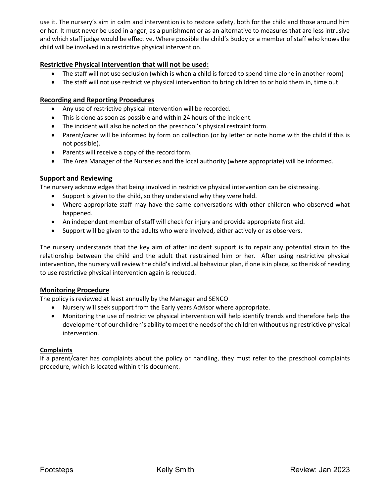use it. The nursery's aim in calm and intervention is to restore safety, both for the child and those around him or her. It must never be used in anger, as a punishment or as an alternative to measures that are less intrusive and which staff judge would be effective. Where possible the child's Buddy or a member of staff who knows the child will be involved in a restrictive physical intervention.

# **Restrictive Physical Intervention that will not be used:**

- The staff will not use seclusion (which is when a child is forced to spend time alone in another room)
- The staff will not use restrictive physical intervention to bring children to or hold them in, time out.

# **Recording and Reporting Procedures**

- Any use of restrictive physical intervention will be recorded.
- This is done as soon as possible and within 24 hours of the incident.
- The incident will also be noted on the preschool's physical restraint form.
- Parent/carer will be informed by form on collection (or by letter or note home with the child if this is not possible).
- Parents will receive a copy of the record form.
- The Area Manager of the Nurseries and the local authority (where appropriate) will be informed.

### **Support and Reviewing**

The nursery acknowledges that being involved in restrictive physical intervention can be distressing.

- Support is given to the child, so they understand why they were held.
- Where appropriate staff may have the same conversations with other children who observed what happened.
- An independent member of staff will check for injury and provide appropriate first aid.
- Support will be given to the adults who were involved, either actively or as observers.

The nursery understands that the key aim of after incident support is to repair any potential strain to the relationship between the child and the adult that restrained him or her. After using restrictive physical intervention, the nursery will review the child's individual behaviour plan, if one is in place, so the risk of needing to use restrictive physical intervention again is reduced.

# **Monitoring Procedure**

The policy is reviewed at least annually by the Manager and SENCO

- Nursery will seek support from the Early years Advisor where appropriate.
- Monitoring the use of restrictive physical intervention will help identify trends and therefore help the development of our children's ability to meet the needs of the children without using restrictive physical intervention.

### **Complaints**

If a parent/carer has complaints about the policy or handling, they must refer to the preschool complaints procedure, which is located within this document.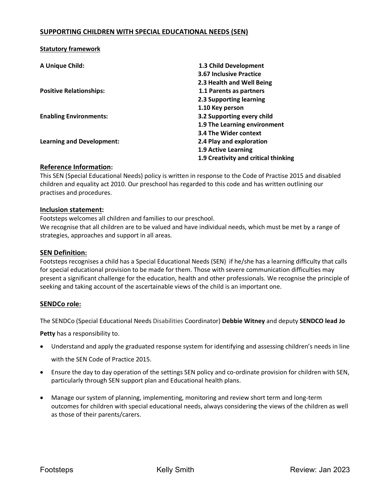### **SUPPORTING CHILDREN WITH SPECIAL EDUCATIONAL NEEDS (SEN)**

| A Unique Child:                  | 1.3 Child Development                |
|----------------------------------|--------------------------------------|
|                                  | <b>3.67 Inclusive Practice</b>       |
|                                  | 2.3 Health and Well Being            |
| <b>Positive Relationships:</b>   | 1.1 Parents as partners              |
|                                  | 2.3 Supporting learning              |
|                                  | 1.10 Key person                      |
| <b>Enabling Environments:</b>    | 3.2 Supporting every child           |
|                                  | 1.9 The Learning environment         |
|                                  | 3.4 The Wider context                |
| <b>Learning and Development:</b> | 2.4 Play and exploration             |
|                                  | <b>1.9 Active Learning</b>           |
|                                  | 1.9 Creativity and critical thinking |

### **Reference Information:**

**Statutory framework**

This SEN (Special Educational Needs) policy is written in response to the Code of Practise 2015 and disabled children and equality act 2010. Our preschool has regarded to this code and has written outlining our practises and procedures.

### **Inclusion statement:**

Footsteps welcomes all children and families to our preschool.

We recognise that all children are to be valued and have individual needs, which must be met by a range of strategies, approaches and support in all areas.

### **SEN Definition:**

Footsteps recognises a child has a Special Educational Needs (SEN) if he/she has a learning difficulty that calls for special educational provision to be made for them. Those with severe communication difficulties may present a significant challenge for the education, health and other professionals. We recognise the principle of seeking and taking account of the ascertainable views of the child is an important one.

### **SENDCo role:**

The SENDCo (Special Educational Needs Disabilities Coordinator) **Debbie Witney** and deputy **SENDCO lead Jo** 

**Petty** has a responsibility to.

- Understand and apply the graduated response system for identifying and assessing children's needs in line with the SEN Code of Practice 2015.
- Ensure the day to day operation of the settings SEN policy and co-ordinate provision for children with SEN, particularly through SEN support plan and Educational health plans.
- Manage our system of planning, implementing, monitoring and review short term and long-term outcomes for children with special educational needs, always considering the views of the children as well as those of their parents/carers.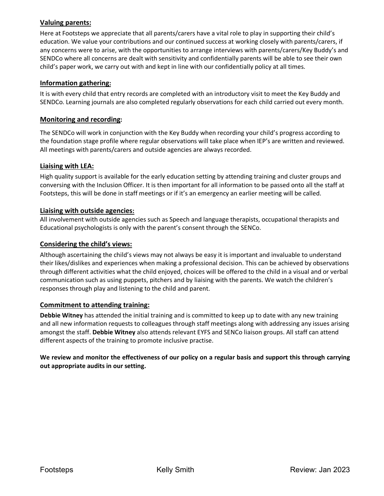# **Valuing parents:**

Here at Footsteps we appreciate that all parents/carers have a vital role to play in supporting their child's education. We value your contributions and our continued success at working closely with parents/carers, if any concerns were to arise, with the opportunities to arrange interviews with parents/carers/Key Buddy's and SENDCo where all concerns are dealt with sensitivity and confidentially parents will be able to see their own child's paper work, we carry out with and kept in line with our confidentially policy at all times.

# **Information gathering:**

It is with every child that entry records are completed with an introductory visit to meet the Key Buddy and SENDCo. Learning journals are also completed regularly observations for each child carried out every month.

### **Monitoring and recording:**

The SENDCo will work in conjunction with the Key Buddy when recording your child's progress according to the foundation stage profile where regular observations will take place when IEP's are written and reviewed. All meetings with parents/carers and outside agencies are always recorded.

# **Liaising with LEA:**

High quality support is available for the early education setting by attending training and cluster groups and conversing with the Inclusion Officer. It is then important for all information to be passed onto all the staff at Footsteps, this will be done in staff meetings or if it's an emergency an earlier meeting will be called.

### **Liaising with outside agencies:**

All involvement with outside agencies such as Speech and language therapists, occupational therapists and Educational psychologists is only with the parent's consent through the SENCo.

### **Considering the child's views:**

Although ascertaining the child's views may not always be easy it is important and invaluable to understand their likes/dislikes and experiences when making a professional decision. This can be achieved by observations through different activities what the child enjoyed, choices will be offered to the child in a visual and or verbal communication such as using puppets, pitchers and by liaising with the parents. We watch the children's responses through play and listening to the child and parent.

### **Commitment to attending training:**

**Debbie Witney** has attended the initial training and is committed to keep up to date with any new training and all new information requests to colleagues through staff meetings along with addressing any issues arising amongst the staff. **Debbie Witney** also attends relevant EYFS and SENCo liaison groups. All staff can attend different aspects of the training to promote inclusive practise.

### **We review and monitor the effectiveness of our policy on a regular basis and support this through carrying out appropriate audits in our setting.**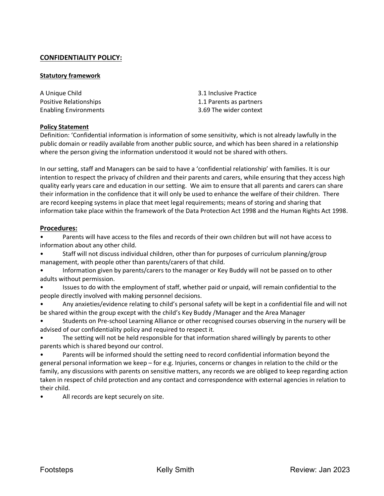# **CONFIDENTIALITY POLICY:**

#### **Statutory framework**

| A Unique Child               | 3.1 Inclusive Practice  |
|------------------------------|-------------------------|
| Positive Relationships       | 1.1 Parents as partners |
| <b>Enabling Environments</b> | 3.69 The wider context  |

#### **Policy Statement**

Definition: 'Confidential information is information of some sensitivity, which is not already lawfully in the public domain or readily available from another public source, and which has been shared in a relationship where the person giving the information understood it would not be shared with others.

In our setting, staff and Managers can be said to have a 'confidential relationship' with families. It is our intention to respect the privacy of children and their parents and carers, while ensuring that they access high quality early years care and education in our setting. We aim to ensure that all parents and carers can share their information in the confidence that it will only be used to enhance the welfare of their children. There are record keeping systems in place that meet legal requirements; means of storing and sharing that information take place within the framework of the Data Protection Act 1998 and the Human Rights Act 1998.

#### **Procedures:**

• Parents will have access to the files and records of their own children but will not have access to information about any other child.

• Staff will not discuss individual children, other than for purposes of curriculum planning/group management, with people other than parents/carers of that child.

• Information given by parents/carers to the manager or Key Buddy will not be passed on to other adults without permission.

• Issues to do with the employment of staff, whether paid or unpaid, will remain confidential to the people directly involved with making personnel decisions.

• Any anxieties/evidence relating to child's personal safety will be kept in a confidential file and will not be shared within the group except with the child's Key Buddy /Manager and the Area Manager

• Students on Pre-school Learning Alliance or other recognised courses observing in the nursery will be advised of our confidentiality policy and required to respect it.

The setting will not be held responsible for that information shared willingly by parents to other parents which is shared beyond our control.

• Parents will be informed should the setting need to record confidential information beyond the general personal information we keep – for e.g. Injuries, concerns or changes in relation to the child or the family, any discussions with parents on sensitive matters, any records we are obliged to keep regarding action taken in respect of child protection and any contact and correspondence with external agencies in relation to their child.

All records are kept securely on site.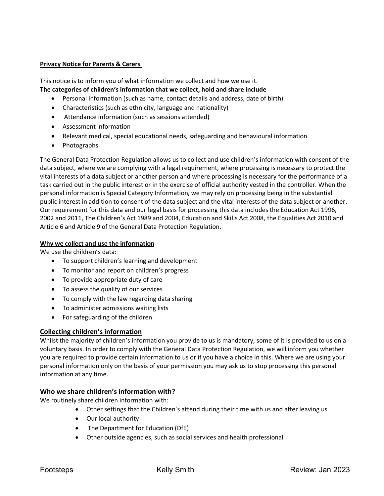### **Privacy Notice for Parents & Carers**

This notice is to inform you of what information we collect and how we use it. **The categories of children's information that we collect, hold and share include**

- Personal information (such as name, contact details and address, date of birth)
- Characteristics (such as ethnicity, language and nationality)
- Attendance information (such as sessions attended)
- Assessment information
- Relevant medical, special educational needs, safeguarding and behavioural information
- Photographs

The General Data Protection Regulation allows us to collect and use children's information with consent of the data subject, where we are complying with a legal requirement, where processing is necessary to protect the vital interests of a data subject or another person and where processing is necessary for the performance of a task carried out in the public interest or in the exercise of official authority vested in the controller. When the personal information is Special Category Information, we may rely on processing being in the substantial public interest in addition to consent of the data subject and the vital interests of the data subject or another. Our requirement for this data and our legal basis for processing this data includes the Education Act 1996, 2002 and 2011, The Children's Act 1989 and 2004, Education and Skills Act 2008, the Equalities Act 2010 and Article 6 and Article 9 of the General Data Protection Regulation.

### **Why we collect and use the information**

We use the children's data:

- To support children's learning and development
- To monitor and report on children's progress
- To provide appropriate duty of care
- To assess the quality of our services
- To comply with the law regarding data sharing
- To administer admissions waiting lists
- For safeguarding of the children

### **Collecting children's information**

Whilst the majority of children's information you provide to us is mandatory, some of it is provided to us on a voluntary basis. In order to comply with the General Data Protection Regulation, we will inform you whether you are required to provide certain information to us or if you have a choice in this. Where we are using your personal information only on the basis of your permission you may ask us to stop processing this personal information at any time.

### **Who we share children's information with?**

We routinely share children information with:

- Other settings that the Children's attend during their time with us and after leaving us
- Our local authority
- The Department for Education (DfE)
- Other outside agencies, such as social services and health professional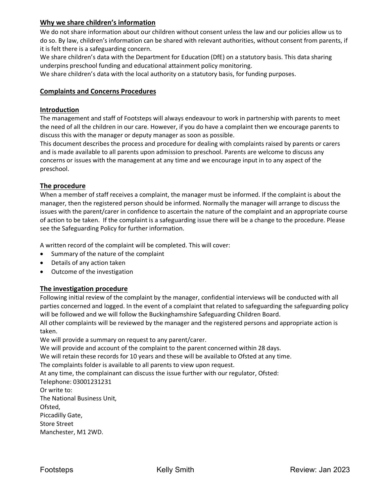# **Why we share children's information**

We do not share information about our children without consent unless the law and our policies allow us to do so. By law, children's information can be shared with relevant authorities, without consent from parents, if it is felt there is a safeguarding concern.

We share children's data with the Department for Education (DfE) on a statutory basis. This data sharing underpins preschool funding and educational attainment policy monitoring.

We share children's data with the local authority on a statutory basis, for funding purposes.

# **Complaints and Concerns Procedures**

### **Introduction**

The management and staff of Footsteps will always endeavour to work in partnership with parents to meet the need of all the children in our care. However, if you do have a complaint then we encourage parents to discuss this with the manager or deputy manager as soon as possible.

This document describes the process and procedure for dealing with complaints raised by parents or carers and is made available to all parents upon admission to preschool. Parents are welcome to discuss any concerns or issues with the management at any time and we encourage input in to any aspect of the preschool.

### **The procedure**

When a member of staff receives a complaint, the manager must be informed. If the complaint is about the manager, then the registered person should be informed. Normally the manager will arrange to discuss the issues with the parent/carer in confidence to ascertain the nature of the complaint and an appropriate course of action to be taken. If the complaint is a safeguarding issue there will be a change to the procedure. Please see the Safeguarding Policy for further information.

A written record of the complaint will be completed. This will cover:

- Summary of the nature of the complaint
- Details of any action taken
- Outcome of the investigation

# **The investigation procedure**

Following initial review of the complaint by the manager, confidential interviews will be conducted with all parties concerned and logged. In the event of a complaint that related to safeguarding the safeguarding policy will be followed and we will follow the Buckinghamshire Safeguarding Children Board.

All other complaints will be reviewed by the manager and the registered persons and appropriate action is taken.

We will provide a summary on request to any parent/carer.

We will provide and account of the complaint to the parent concerned within 28 days.

We will retain these records for 10 years and these will be available to Ofsted at any time.

The complaints folder is available to all parents to view upon request.

At any time, the complainant can discuss the issue further with our regulator, Ofsted:

Telephone: 03001231231 Or write to: The National Business Unit, Ofsted, Piccadilly Gate,

Store Street

Manchester, M1 2WD.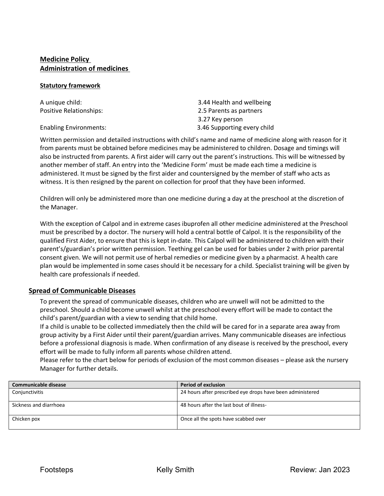# **Medicine Policy Administration of medicines**

#### **Statutory framework**

| A unique child:               | 3.44 Health and wellbeing   |  |
|-------------------------------|-----------------------------|--|
| Positive Relationships:       | 2.5 Parents as partners     |  |
|                               | 3.27 Key person             |  |
| <b>Enabling Environments:</b> | 3.46 Supporting every child |  |

Written permission and detailed instructions with child's name and name of medicine along with reason for it from parents must be obtained before medicines may be administered to children. Dosage and timings will also be instructed from parents. A first aider will carry out the parent's instructions. This will be witnessed by another member of staff. An entry into the 'Medicine Form' must be made each time a medicine is administered. It must be signed by the first aider and countersigned by the member of staff who acts as witness. It is then resigned by the parent on collection for proof that they have been informed.

Children will only be administered more than one medicine during a day at the preschool at the discretion of the Manager.

With the exception of Calpol and in extreme cases ibuprofen all other medicine administered at the Preschool must be prescribed by a doctor. The nursery will hold a central bottle of Calpol. It is the responsibility of the qualified First Aider, to ensure that this is kept in-date. This Calpol will be administered to children with their parent's/guardian's prior written permission. Teething gel can be used for babies under 2 with prior parental consent given. We will not permit use of herbal remedies or medicine given by a pharmacist. A health care plan would be implemented in some cases should it be necessary for a child. Specialist training will be given by health care professionals if needed.

# **Spread of Communicable Diseases**

To prevent the spread of communicable diseases, children who are unwell will not be admitted to the preschool. Should a child become unwell whilst at the preschool every effort will be made to contact the child's parent/guardian with a view to sending that child home.

If a child is unable to be collected immediately then the child will be cared for in a separate area away from group activity by a First Aider until their parent/guardian arrives. Many communicable diseases are infectious before a professional diagnosis is made. When confirmation of any disease is received by the preschool, every effort will be made to fully inform all parents whose children attend.

Please refer to the chart below for periods of exclusion of the most common diseases – please ask the nursery Manager for further details.

| Communicable disease   | <b>Period of exclusion</b>                                 |
|------------------------|------------------------------------------------------------|
| Conjunctivitis         | 24 hours after prescribed eye drops have been administered |
| Sickness and diarrhoea | 48 hours after the last bout of illness-                   |
| Chicken pox            | Once all the spots have scabbed over                       |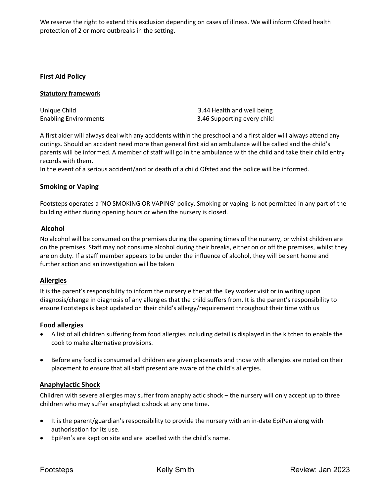We reserve the right to extend this exclusion depending on cases of illness. We will inform Ofsted health protection of 2 or more outbreaks in the setting.

### **First Aid Policy**

#### **Statutory framework**

| Unique Child                 | 3.44 Health and well being  |
|------------------------------|-----------------------------|
| <b>Enabling Environments</b> | 3.46 Supporting every child |

A first aider will always deal with any accidents within the preschool and a first aider will always attend any outings. Should an accident need more than general first aid an ambulance will be called and the child's parents will be informed. A member of staff will go in the ambulance with the child and take their child entry records with them.

In the event of a serious accident/and or death of a child Ofsted and the police will be informed.

### **Smoking or Vaping**

Footsteps operates a 'NO SMOKING OR VAPING' policy. Smoking or vaping is not permitted in any part of the building either during opening hours or when the nursery is closed.

### **Alcohol**

No alcohol will be consumed on the premises during the opening times of the nursery, or whilst children are on the premises. Staff may not consume alcohol during their breaks, either on or off the premises, whilst they are on duty. If a staff member appears to be under the influence of alcohol, they will be sent home and further action and an investigation will be taken

### **Allergies**

It is the parent's responsibility to inform the nursery either at the Key worker visit or in writing upon diagnosis/change in diagnosis of any allergies that the child suffers from. It is the parent's responsibility to ensure Footsteps is kept updated on their child's allergy/requirement throughout their time with us

### **Food allergies**

- A list of all children suffering from food allergies including detail is displayed in the kitchen to enable the cook to make alternative provisions.
- Before any food is consumed all children are given placemats and those with allergies are noted on their placement to ensure that all staff present are aware of the child's allergies.

# **Anaphylactic Shock**

Children with severe allergies may suffer from anaphylactic shock – the nursery will only accept up to three children who may suffer anaphylactic shock at any one time.

- It is the parent/guardian's responsibility to provide the nursery with an in-date EpiPen along with authorisation for its use.
- EpiPen's are kept on site and are labelled with the child's name.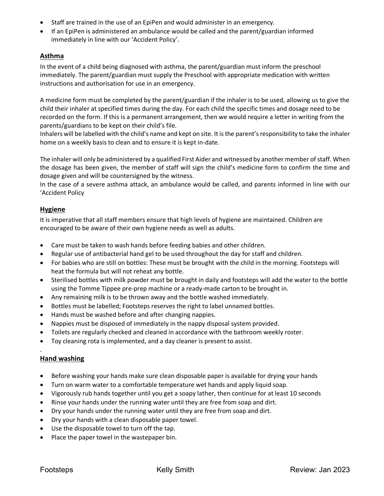- Staff are trained in the use of an EpiPen and would administer in an emergency.
- If an EpiPen is administered an ambulance would be called and the parent/guardian informed immediately in line with our 'Accident Policy'.

### **Asthma**

In the event of a child being diagnosed with asthma, the parent/guardian must inform the preschool immediately. The parent/guardian must supply the Preschool with appropriate medication with written instructions and authorisation for use in an emergency.

A medicine form must be completed by the parent/guardian if the inhaler is to be used, allowing us to give the child their inhaler at specified times during the day. For each child the specific times and dosage need to be recorded on the form. If this is a permanent arrangement, then we would require a letter in writing from the parents/guardians to be kept on their child's file.

Inhalers will be labelled with the child's name and kept on site. It is the parent's responsibility to take the inhaler home on a weekly basis to clean and to ensure it is kept in-date.

The inhaler will only be administered by a qualified First Aider and witnessed by another member of staff. When the dosage has been given, the member of staff will sign the child's medicine form to confirm the time and dosage given and will be countersigned by the witness.

In the case of a severe asthma attack, an ambulance would be called, and parents informed in line with our 'Accident Policy

### **Hygiene**

It is imperative that all staff members ensure that high levels of hygiene are maintained. Children are encouraged to be aware of their own hygiene needs as well as adults.

- Care must be taken to wash hands before feeding babies and other children.
- Regular use of antibacterial hand gel to be used throughout the day for staff and children.
- For babies who are still on bottles: These must be brought with the child in the morning. Footsteps will heat the formula but will not reheat any bottle.
- Sterilised bottles with milk powder must be brought in daily and footsteps will add the water to the bottle using the Tomme Tippee pre-prep machine or a ready-made carton to be brought in.
- Any remaining milk is to be thrown away and the bottle washed immediately.
- Bottles must be labelled; Footsteps reserves the right to label unnamed bottles.
- Hands must be washed before and after changing nappies.
- Nappies must be disposed of immediately in the nappy disposal system provided.
- Toilets are regularly checked and cleaned in accordance with the bathroom weekly roster.
- Toy cleaning rota is implemented, and a day cleaner is present to assist.

# **Hand washing**

.

- Before washing your hands make sure clean disposable paper is available for drying your hands
- Turn on warm water to a comfortable temperature wet hands and apply liquid soap.
- Vigorously rub hands together until you get a soapy lather, then continue for at least 10 seconds
- Rinse your hands under the running water until they are free from soap and dirt.
- Dry your hands under the running water until they are free from soap and dirt.
- Dry your hands with a clean disposable paper towel.
- Use the disposable towel to turn off the tap.
- Place the paper towel in the wastepaper bin.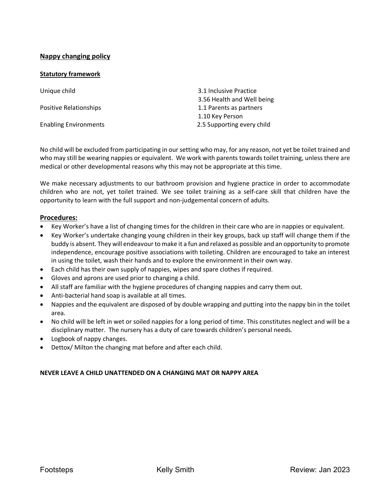# **Nappy changing policy**

### **Statutory framework**

| Unique child                 | 3.1 Inclusive Practice     |
|------------------------------|----------------------------|
|                              | 3.56 Health and Well being |
| Positive Relationships       | 1.1 Parents as partners    |
|                              | 1.10 Key Person            |
| <b>Enabling Environments</b> | 2.5 Supporting every child |

No child will be excluded from participating in our setting who may, for any reason, not yet be toilet trained and who may still be wearing nappies or equivalent. We work with parents towards toilet training, unless there are medical or other developmental reasons why this may not be appropriate at this time.

We make necessary adjustments to our bathroom provision and hygiene practice in order to accommodate children who are not, yet toilet trained. We see toilet training as a self-care skill that children have the opportunity to learn with the full support and non-judgemental concern of adults.

### **Procedures:**

- Key Worker's have a list of changing times for the children in their care who are in nappies or equivalent.
- Key Worker's undertake changing young children in their key groups, back up staff will change them if the buddy is absent. They will endeavour to make it a fun and relaxed as possible and an opportunity to promote independence, encourage positive associations with toileting. Children are encouraged to take an interest in using the toilet, wash their hands and to explore the environment in their own way.
- Each child has their own supply of nappies, wipes and spare clothes if required.
- Gloves and aprons are used prior to changing a child.
- All staff are familiar with the hygiene procedures of changing nappies and carry them out.
- Anti-bacterial hand soap is available at all times.
- Nappies and the equivalent are disposed of by double wrapping and putting into the nappy bin in the toilet area.
- No child will be left in wet or soiled nappies for a long period of time. This constitutes neglect and will be a disciplinary matter. The nursery has a duty of care towards children's personal needs.
- Logbook of nappy changes.
- Dettox/ Milton the changing mat before and after each child.

### **NEVER LEAVE A CHILD UNATTENDED ON A CHANGING MAT OR NAPPY AREA**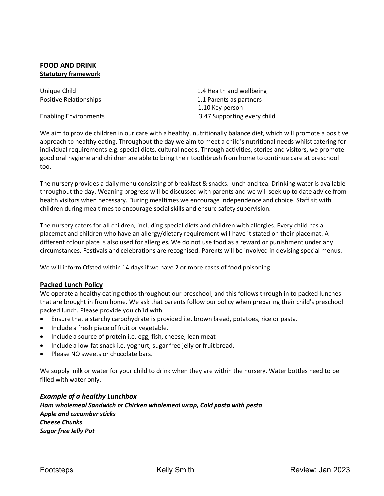### **FOOD AND DRINK Statutory framework**

Unique Child 1.4 Health and wellbeing Positive Relationships **1.1 Parents as partners**  1.10 Key person Enabling Environments 3.47 Supporting every child

We aim to provide children in our care with a healthy, nutritionally balance diet, which will promote a positive approach to healthy eating. Throughout the day we aim to meet a child's nutritional needs whilst catering for individual requirements e.g. special diets, cultural needs. Through activities, stories and visitors, we promote good oral hygiene and children are able to bring their toothbrush from home to continue care at preschool too.

The nursery provides a daily menu consisting of breakfast & snacks, lunch and tea. Drinking water is available throughout the day. Weaning progress will be discussed with parents and we will seek up to date advice from health visitors when necessary. During mealtimes we encourage independence and choice. Staff sit with children during mealtimes to encourage social skills and ensure safety supervision.

The nursery caters for all children, including special diets and children with allergies. Every child has a placemat and children who have an allergy/dietary requirement will have it stated on their placemat. A different colour plate is also used for allergies. We do not use food as a reward or punishment under any circumstances. Festivals and celebrations are recognised. Parents will be involved in devising special menus.

We will inform Ofsted within 14 days if we have 2 or more cases of food poisoning.

# **Packed Lunch Policy**

We operate a healthy eating ethos throughout our preschool, and this follows through in to packed lunches that are brought in from home. We ask that parents follow our policy when preparing their child's preschool packed lunch. Please provide you child with

- Ensure that a starchy carbohydrate is provided i.e. brown bread, potatoes, rice or pasta.
- Include a fresh piece of fruit or vegetable.
- Include a source of protein i.e. egg, fish, cheese, lean meat
- Include a low-fat snack i.e. yoghurt, sugar free jelly or fruit bread.
- Please NO sweets or chocolate bars.

We supply milk or water for your child to drink when they are within the nursery. Water bottles need to be filled with water only.

### *Example of a healthy Lunchbox*

*Ham wholemeal Sandwich or Chicken wholemeal wrap, Cold pasta with pesto Apple and cucumber sticks Cheese Chunks Sugar free Jelly Pot*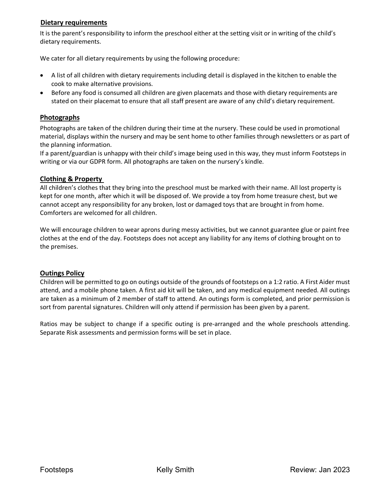# **Dietary requirements**

It is the parent's responsibility to inform the preschool either at the setting visit or in writing of the child's dietary requirements.

We cater for all dietary requirements by using the following procedure:

- A list of all children with dietary requirements including detail is displayed in the kitchen to enable the cook to make alternative provisions.
- Before any food is consumed all children are given placemats and those with dietary requirements are stated on their placemat to ensure that all staff present are aware of any child's dietary requirement.

### **Photographs**

Photographs are taken of the children during their time at the nursery. These could be used in promotional material, displays within the nursery and may be sent home to other families through newsletters or as part of the planning information.

If a parent/guardian is unhappy with their child's image being used in this way, they must inform Footsteps in writing or via our GDPR form. All photographs are taken on the nursery's kindle.

### **Clothing & Property**

All children's clothes that they bring into the preschool must be marked with their name. All lost property is kept for one month, after which it will be disposed of. We provide a toy from home treasure chest, but we cannot accept any responsibility for any broken, lost or damaged toys that are brought in from home. Comforters are welcomed for all children.

We will encourage children to wear aprons during messy activities, but we cannot guarantee glue or paint free clothes at the end of the day. Footsteps does not accept any liability for any items of clothing brought on to the premises.

### **Outings Policy**

Children will be permitted to go on outings outside of the grounds of footsteps on a 1:2 ratio. A First Aider must attend, and a mobile phone taken. A first aid kit will be taken, and any medical equipment needed. All outings are taken as a minimum of 2 member of staff to attend. An outings form is completed, and prior permission is sort from parental signatures. Children will only attend if permission has been given by a parent.

Ratios may be subject to change if a specific outing is pre-arranged and the whole preschools attending. Separate Risk assessments and permission forms will be set in place.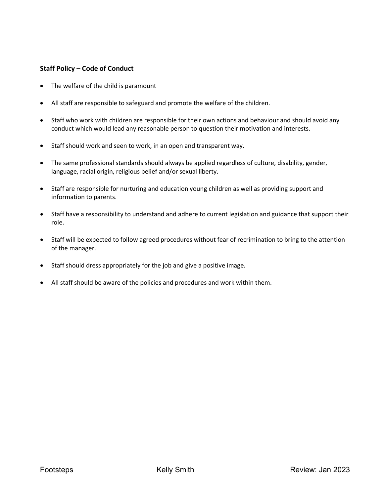# **Staff Policy – Code of Conduct**

- The welfare of the child is paramount
- All staff are responsible to safeguard and promote the welfare of the children.
- Staff who work with children are responsible for their own actions and behaviour and should avoid any conduct which would lead any reasonable person to question their motivation and interests.
- Staff should work and seen to work, in an open and transparent way.
- The same professional standards should always be applied regardless of culture, disability, gender, language, racial origin, religious belief and/or sexual liberty.
- Staff are responsible for nurturing and education young children as well as providing support and information to parents.
- Staff have a responsibility to understand and adhere to current legislation and guidance that support their role.
- Staff will be expected to follow agreed procedures without fear of recrimination to bring to the attention of the manager.
- Staff should dress appropriately for the job and give a positive image.
- All staff should be aware of the policies and procedures and work within them.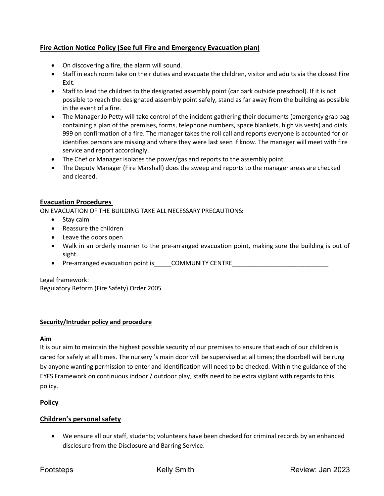# **Fire Action Notice Policy (See full Fire and Emergency Evacuation plan)**

- On discovering a fire, the alarm will sound.
- Staff in each room take on their duties and evacuate the children, visitor and adults via the closest Fire Exit.
- Staff to lead the children to the designated assembly point (car park outside preschool). If it is not possible to reach the designated assembly point safely, stand as far away from the building as possible in the event of a fire.
- The Manager Jo Petty will take control of the incident gathering their documents (emergency grab bag containing a plan of the premises, forms, telephone numbers, space blankets, high vis vests) and dials 999 on confirmation of a fire. The manager takes the roll call and reports everyone is accounted for or identifies persons are missing and where they were last seen if know. The manager will meet with fire service and report accordingly.
- The Chef or Manager isolates the power/gas and reports to the assembly point.
- The Deputy Manager (Fire Marshall) does the sweep and reports to the manager areas are checked and cleared.

### **Evacuation Procedures**

ON EVACUATION OF THE BUILDING TAKE ALL NECESSARY PRECAUTIONS**:** 

- Stay calm
- Reassure the children
- Leave the doors open
- Walk in an orderly manner to the pre-arranged evacuation point, making sure the building is out of sight.
- Pre-arranged evacuation point is \_\_\_\_\_COMMUNITY CENTRE

Legal framework:

Regulatory Reform (Fire Safety) Order 2005

### **Security/Intruder policy and procedure**

### **Aim**

It is our aim to maintain the highest possible security of our premises to ensure that each of our children is cared for safely at all times. The nursery 's main door will be supervised at all times; the doorbell will be rung by anyone wanting permission to enter and identification will need to be checked. Within the guidance of the EYFS Framework on continuous indoor / outdoor play, staffs need to be extra vigilant with regards to this policy.

# **Policy**

# **Children's personal safety**

• We ensure all our staff, students; volunteers have been checked for criminal records by an enhanced disclosure from the Disclosure and Barring Service.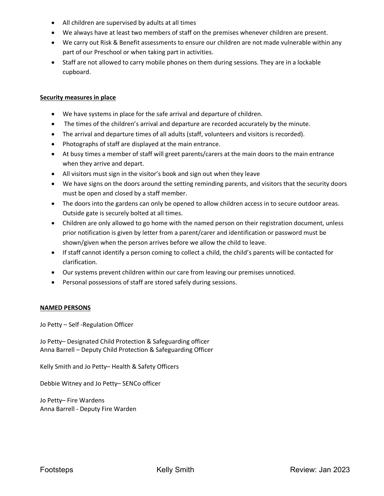- All children are supervised by adults at all times
- We always have at least two members of staff on the premises whenever children are present.
- We carry out Risk & Benefit assessments to ensure our children are not made vulnerable within any part of our Preschool or when taking part in activities.
- Staff are not allowed to carry mobile phones on them during sessions. They are in a lockable cupboard.

#### **Security measures in place**

- We have systems in place for the safe arrival and departure of children.
- The times of the children's arrival and departure are recorded accurately by the minute.
- The arrival and departure times of all adults (staff, volunteers and visitors is recorded).
- Photographs of staff are displayed at the main entrance.
- At busy times a member of staff will greet parents/carers at the main doors to the main entrance when they arrive and depart.
- All visitors must sign in the visitor's book and sign out when they leave
- We have signs on the doors around the setting reminding parents, and visitors that the security doors must be open and closed by a staff member.
- The doors into the gardens can only be opened to allow children access in to secure outdoor areas. Outside gate is securely bolted at all times.
- Children are only allowed to go home with the named person on their registration document, unless prior notification is given by letter from a parent/carer and identification or password must be shown/given when the person arrives before we allow the child to leave.
- If staff cannot identify a person coming to collect a child, the child's parents will be contacted for clarification.
- Our systems prevent children within our care from leaving our premises unnoticed.
- Personal possessions of staff are stored safely during sessions.

### **NAMED PERSONS**

Jo Petty – Self -Regulation Officer

Jo Petty– Designated Child Protection & Safeguarding officer Anna Barrell – Deputy Child Protection & Safeguarding Officer

Kelly Smith and Jo Petty– Health & Safety Officers

Debbie Witney and Jo Petty– SENCo officer

Jo Petty– Fire Wardens Anna Barrell - Deputy Fire Warden